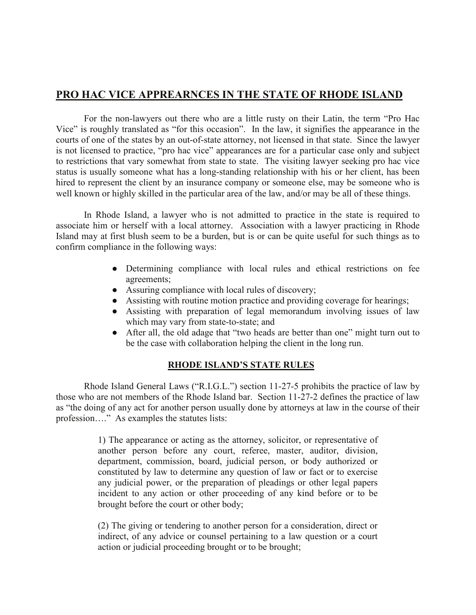## **PRO HAC VICE APPREARNCES IN THE STATE OF RHODE ISLAND**

For the non-lawyers out there who are a little rusty on their Latin, the term "Pro Hac Vice" is roughly translated as "for this occasion". In the law, it signifies the appearance in the courts of one of the states by an out-of-state attorney, not licensed in that state. Since the lawyer is not licensed to practice, "pro hac vice" appearances are for a particular case only and subject to restrictions that vary somewhat from state to state. The visiting lawyer seeking pro hac vice status is usually someone what has a long-standing relationship with his or her client, has been hired to represent the client by an insurance company or someone else, may be someone who is well known or highly skilled in the particular area of the law, and/or may be all of these things.

In Rhode Island, a lawyer who is not admitted to practice in the state is required to associate him or herself with a local attorney. Association with a lawyer practicing in Rhode Island may at first blush seem to be a burden, but is or can be quite useful for such things as to confirm compliance in the following ways:

- Determining compliance with local rules and ethical restrictions on fee agreements;
- Assuring compliance with local rules of discovery;
- Assisting with routine motion practice and providing coverage for hearings;
- Assisting with preparation of legal memorandum involving issues of law which may vary from state-to-state; and
- After all, the old adage that "two heads are better than one" might turn out to be the case with collaboration helping the client in the long run.

## **RHODE ISLAND'S STATE RULES**

Rhode Island General Laws ("R.I.G.L.") section 11-27-5 prohibits the practice of law by those who are not members of the Rhode Island bar. Section 11-27-2 defines the practice of law as "the doing of any act for another person usually done by attorneys at law in the course of their profession…." As examples the statutes lists:

> 1) The appearance or acting as the attorney, solicitor, or representative of another person before any court, referee, master, auditor, division, department, commission, board, judicial person, or body authorized or constituted by law to determine any question of law or fact or to exercise any judicial power, or the preparation of pleadings or other legal papers incident to any action or other proceeding of any kind before or to be brought before the court or other body;

> (2) The giving or tendering to another person for a consideration, direct or indirect, of any advice or counsel pertaining to a law question or a court action or judicial proceeding brought or to be brought;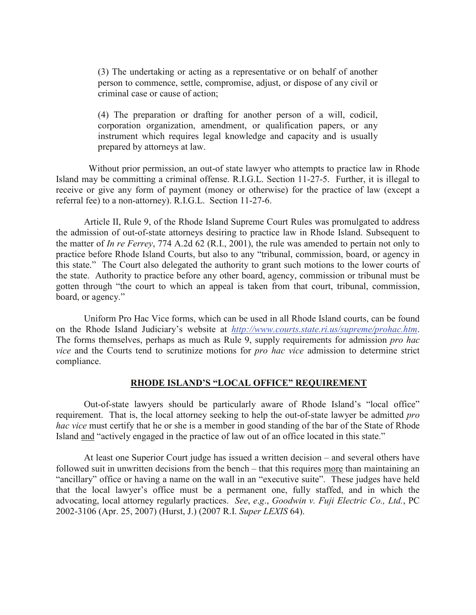(3) The undertaking or acting as a representative or on behalf of another person to commence, settle, compromise, adjust, or dispose of any civil or criminal case or cause of action;

(4) The preparation or drafting for another person of a will, codicil, corporation organization, amendment, or qualification papers, or any instrument which requires legal knowledge and capacity and is usually prepared by attorneys at law.

 Without prior permission, an out-of state lawyer who attempts to practice law in Rhode Island may be committing a criminal offense. R.I.G.L. Section 11-27-5. Further, it is illegal to receive or give any form of payment (money or otherwise) for the practice of law (except a referral fee) to a non-attorney). R.I.G.L. Section 11-27-6.

Article II, Rule 9, of the Rhode Island Supreme Court Rules was promulgated to address the admission of out-of-state attorneys desiring to practice law in Rhode Island. Subsequent to the matter of *In re Ferrey*, 774 A.2d 62 (R.I., 2001), the rule was amended to pertain not only to practice before Rhode Island Courts, but also to any "tribunal, commission, board, or agency in this state." The Court also delegated the authority to grant such motions to the lower courts of the state. Authority to practice before any other board, agency, commission or tribunal must be gotten through "the court to which an appeal is taken from that court, tribunal, commission, board, or agency."

Uniform Pro Hac Vice forms, which can be used in all Rhode Island courts, can be found on the Rhode Island Judiciary's website at *<http://www.courts.state.ri.us/supreme/prohac.htm>*. The forms themselves, perhaps as much as Rule 9, supply requirements for admission *pro hac vice* and the Courts tend to scrutinize motions for *pro hac vice* admission to determine strict compliance.

## **RHODE ISLAND'S "LOCAL OFFICE" REQUIREMENT**

Out-of-state lawyers should be particularly aware of Rhode Island's "local office" requirement. That is, the local attorney seeking to help the out-of-state lawyer be admitted *pro hac vice* must certify that he or she is a member in good standing of the bar of the State of Rhode Island and "actively engaged in the practice of law out of an office located in this state."

At least one Superior Court judge has issued a written decision – and several others have followed suit in unwritten decisions from the bench – that this requires more than maintaining an "ancillary" office or having a name on the wall in an "executive suite". These judges have held that the local lawyer's office must be a permanent one, fully staffed, and in which the advocating, local attorney regularly practices. *See*, *e*.*g*., *Goodwin v. Fuji Electric Co., Ltd.*, PC 2002-3106 (Apr. 25, 2007) (Hurst, J.) (2007 R.I. *Super LEXIS* 64).